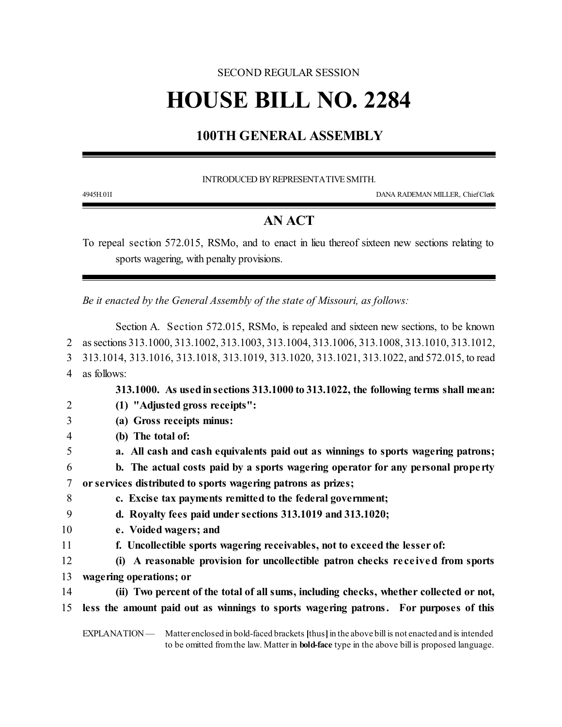### SECOND REGULAR SESSION

# **HOUSE BILL NO. 2284**

## **100TH GENERAL ASSEMBLY**

INTRODUCED BY REPRESENTATIVE SMITH.

4945H.01I DANA RADEMAN MILLER, ChiefClerk

# **AN ACT**

To repeal section 572.015, RSMo, and to enact in lieu thereof sixteen new sections relating to sports wagering, with penalty provisions.

*Be it enacted by the General Assembly of the state of Missouri, as follows:*

|                | Section A. Section 572.015, RSMo, is repealed and sixteen new sections, to be known                          |
|----------------|--------------------------------------------------------------------------------------------------------------|
| 2              | as sections 313.1000, 313.1002, 313.1003, 313.1004, 313.1006, 313.1008, 313.1010, 313.1012,                  |
| 3              | 313.1014, 313.1016, 313.1018, 313.1019, 313.1020, 313.1021, 313.1022, and 572.015, to read                   |
| $\overline{4}$ | as follows:                                                                                                  |
|                | 313.1000. As used in sections 313.1000 to 313.1022, the following terms shall mean:                          |
| $\overline{2}$ | (1) "Adjusted gross receipts":                                                                               |
| 3              | (a) Gross receipts minus:                                                                                    |
| $\overline{4}$ | (b) The total of:                                                                                            |
| 5              | a. All cash and cash equivalents paid out as winnings to sports wagering patrons;                            |
| 6              | b. The actual costs paid by a sports wagering operator for any personal property                             |
| 7              | or services distributed to sports wagering patrons as prizes;                                                |
| 8              | c. Excise tax payments remitted to the federal government;                                                   |
| 9              | d. Royalty fees paid under sections 313.1019 and 313.1020;                                                   |
| 10             | e. Voided wagers; and                                                                                        |
| 11             | f. Uncollectible sports wagering receivables, not to exceed the lesser of:                                   |
| 12             | (i) A reasonable provision for uncollectible patron checks received from sports                              |
| 13             | wagering operations; or                                                                                      |
| 14             | (ii) Two percent of the total of all sums, including checks, whether collected or not,                       |
| 15             | less the amount paid out as winnings to sports wagering patrons. For purposes of this                        |
|                | EXPLANATION — Matter enclosed in bold-faced brackets [thus] in the above bill is not enacted and is intended |

EXPLANATION — Matter enclosed in bold-faced brackets **[**thus**]**in the above bill is not enacted and is intended to be omitted fromthe law. Matter in **bold-face** type in the above bill is proposed language.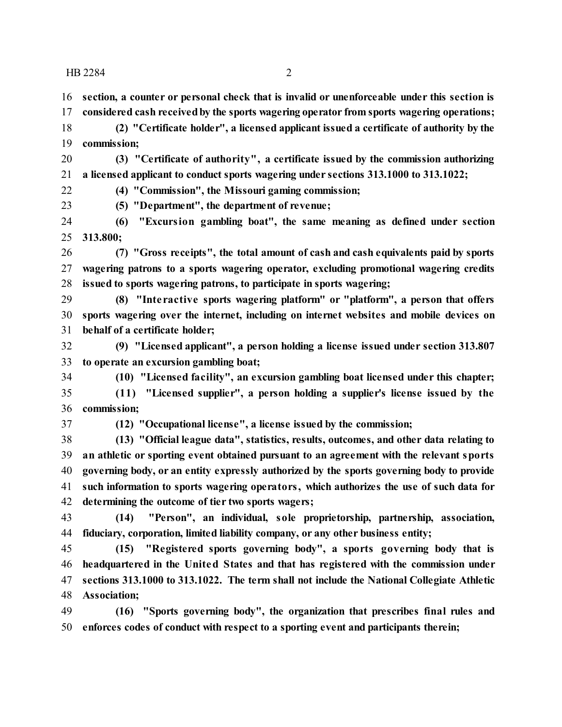**section, a counter or personal check that is invalid or unenforceable under this section is**

**considered cash receivedby the sports wagering operator from sports wagering operations;**

 **(2) "Certificate holder", a licensed applicant issued a certificate of authority by the commission;**

 **(3) "Certificate of authority", a certificate issued by the commission authorizing a licensed applicant to conduct sports wagering under sections 313.1000 to 313.1022;**

**(4) "Commission", the Missouri gaming commission;**

**(5) "Department", the department of revenue;**

 **(6) "Excursion gambling boat", the same meaning as defined under section 313.800;**

 **(7) "Gross receipts", the total amount of cash and cash equivalents paid by sports wagering patrons to a sports wagering operator, excluding promotional wagering credits issued to sports wagering patrons, to participate in sports wagering;**

 **(8) "Inte ractive sports wagering platform" or "platform", a person that offers sports wagering over the internet, including on internet websites and mobile devices on behalf of a certificate holder;**

 **(9) "Licensed applicant", a person holding a license issued under section 313.807 to operate an excursion gambling boat;**

**(10) "Licensed facility", an excursion gambling boat licensed under this chapter;**

 **(11) "Licensed supplier", a person holding a supplier's license issued by the commission;**

**(12) "Occupational license", a license issued by the commission;**

 **(13) "Official league data", statistics, results, outcomes, and other data relating to an athletic or sporting event obtained pursuant to an agreement with the relevant sports governing body, or an entity expressly authorized by the sports governing body to provide such information to sports wagering operators, which authorizes the use of such data for determining the outcome of tier two sports wagers;**

 **(14) "Person", an individual, sole proprietorship, partnership, association, fiduciary, corporation, limited liability company, or any other business entity;**

 **(15) "Registered sports governing body", a sports governing body that is headquartered in the United States and that has registered with the commission under sections 313.1000 to 313.1022. The term shall not include the National Collegiate Athletic Association;**

 **(16) "Sports governing body", the organization that prescribes final rules and enforces codes of conduct with respect to a sporting event and participants therein;**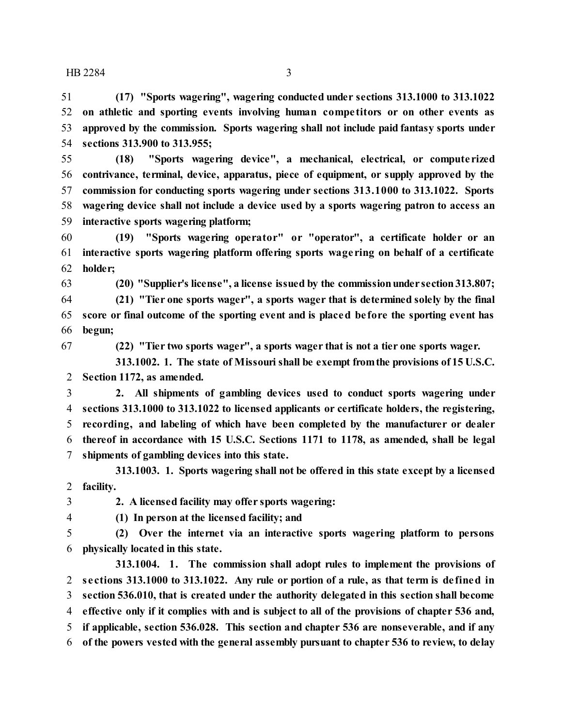**(17) "Sports wagering", wagering conducted under sections 313.1000 to 313.1022 on athletic and sporting events involving human compe titors or on other events as approved by the commission. Sports wagering shall not include paid fantasy sports under sections 313.900 to 313.955;**

 **(18) "Sports wagering device", a mechanical, electrical, or compute rized contrivance, terminal, device, apparatus, piece of equipment, or supply approved by the commission for conducting sports wagering under sections 313.1000 to 313.1022. Sports wagering device shall not include a device used by a sports wagering patron to access an interactive sports wagering platform;**

 **(19) "Sports wagering operator" or "operator", a certificate holder or an interactive sports wagering platform offering sports wage ring on behalf of a certificate holder;**

**(20) "Supplier's license", a license issued by the commissionunder section313.807;**

 **(21) "Tier one sports wager", a sports wager that is determined solely by the final score or final outcome of the sporting event and is placed be fore the sporting event has begun;**

**(22) "Tier two sports wager", a sports wager that is not a tier one sports wager.**

**313.1002. 1. The state of Missouri shall be exempt fromthe provisions of 15 U.S.C. Section 1172, as amended.**

 **2. All shipments of gambling devices used to conduct sports wagering under sections 313.1000 to 313.1022 to licensed applicants or certificate holders, the registering, recording, and labeling of which have been completed by the manufacturer or dealer thereof in accordance with 15 U.S.C. Sections 1171 to 1178, as amended, shall be legal shipments of gambling devices into this state.**

**313.1003. 1. Sports wagering shall not be offered in this state except by a licensed facility.**

**2. A licensed facility may offer sports wagering:**

**(1) In person at the licensed facility; and**

 **(2) Over the internet via an interactive sports wagering platform to persons physically located in this state.**

**313.1004. 1. The commission shall adopt rules to implement the provisions of se ctions 313.1000 to 313.1022. Any rule or portion of a rule, as that term is de fined in section 536.010, that is created under the authority delegated in this section shall become effective only if it complies with and is subject to all of the provisions of chapter 536 and, if applicable, section 536.028. This section and chapter 536 are nonseverable, and if any of the powers vested with the general assembly pursuant to chapter 536 to review, to delay**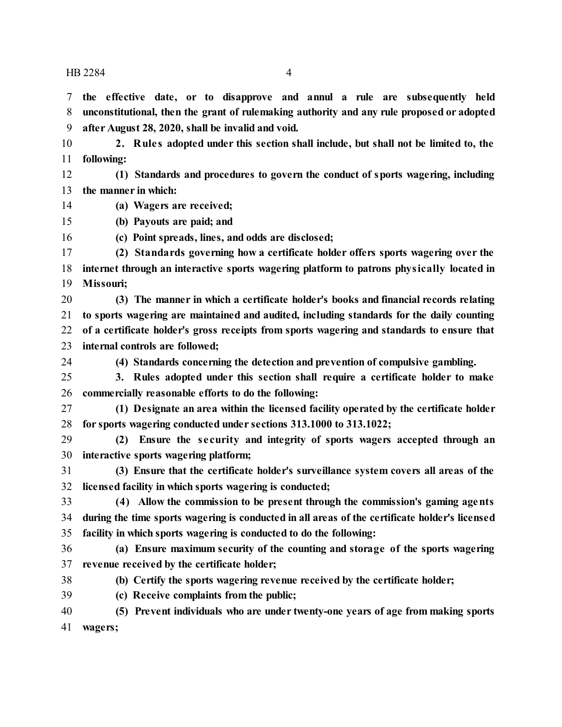**following:**

 **the effective date, or to disapprove and annul a rule are subsequently held unconstitutional, then the grant of rulemaking authority and any rule proposed or adopted**

**2. Rule s adopted under this section shall include, but shall not be limited to, the**

**after August 28, 2020, shall be invalid and void.**

 **(1) Standards and procedures to govern the conduct of sports wagering, including the manner in which: (a) Wagers are received; (b) Payouts are paid; and (c) Point spreads, lines, and odds are disclosed; (2) Standards governing how a certificate holder offers sports wagering over the internet through an interactive sports wagering platform to patrons physically located in Missouri; (4) Standards concerning the detection and prevention of compulsive gambling. (1) Designate an area within the licensed facility operated by the certificate holder (2) Ensure the se curity and integrity of sports wagers accepted through an (a) Ensure maximum security of the counting and storage of the sports wagering revenue received by the certificate holder; (b) Certify the sports wagering revenue received by the certificate holder; (c) Receive complaints from the public; (5) Prevent individuals who are under twenty-one years of age from making sports wagers;**

- **(3) The manner in which a certificate holder's books and financial records relating to sports wagering are maintained and audited, including standards for the daily counting of a certificate holder's gross receipts from sports wagering and standards to ensure that internal controls are followed;**
- **3. Rules adopted under this section shall require a certificate holder to make commercially reasonable efforts to do the following:**
- **for sports wagering conducted under sections 313.1000 to 313.1022;**
- **interactive sports wagering platform;**
- **(3) Ensure that the certificate holder's surveillance system covers all areas of the licensed facility in which sports wagering is conducted;**
- **(4) Allow the commission to be present through the commission's gaming agents during the time sports wagering is conducted in all areas of the certificate holder's licensed facility in which sports wagering is conducted to do the following:**
-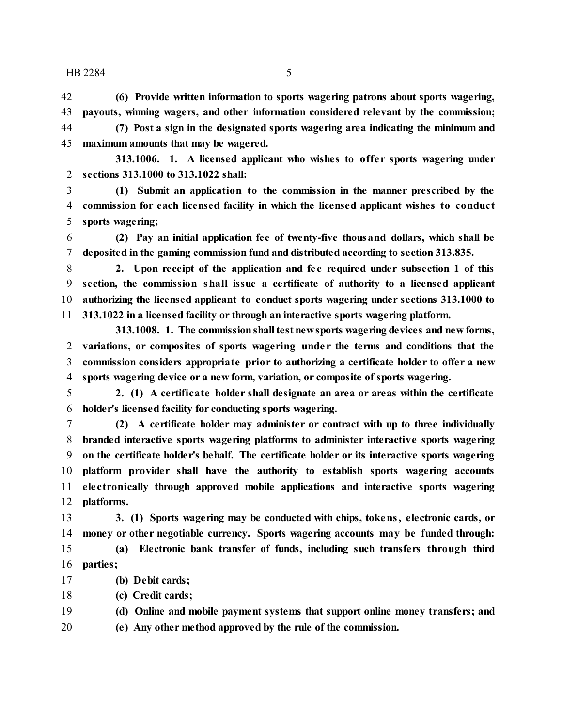**(6) Provide written information to sports wagering patrons about sports wagering, payouts, winning wagers, and other information considered relevant by the commission; (7) Post a sign in the designated sports wagering area indicating the minimum and maximum amounts that may be wagered.**

**313.1006. 1. A licensed applicant who wishes to offe r sports wagering under sections 313.1000 to 313.1022 shall:**

 **(1) Submit an application to the commission in the manner prescribed by the commission for each licensed facility in which the licensed applicant wishes to conduct sports wagering;**

 **(2) Pay an initial application fee of twenty-five thousand dollars, which shall be deposited in the gaming commission fund and distributed according to section 313.835.**

 **2. Upon receipt of the application and fe e required under subsection 1 of this section, the commission shall issue a certificate of authority to a licensed applicant authorizing the licensed applicant to conduct sports wagering under sections 313.1000 to 313.1022 in a licensed facility or through an interactive sports wagering platform.**

**313.1008. 1. The commissionshalltest newsports wagering devices and new forms, variations, or composites of sports wagering unde r the terms and conditions that the commission considers appropriate prior to authorizing a certificate holder to offer a new sports wagering device or a new form, variation, or composite of sports wagering.**

 **2. (1) A certificate holder shall designate an area or areas within the certificate holder's licensed facility for conducting sports wagering.**

 **(2) A certificate holder may administer or contract with up to three individually branded interactive sports wagering platforms to administer interactive sports wagering on the certificate holder's behalf. The certificate holder or its interactive sports wagering platform provider shall have the authority to establish sports wagering accounts ele ctronically through approved mobile applications and interactive sports wagering platforms.**

 **3. (1) Sports wagering may be conducted with chips, tokens, electronic cards, or money or other negotiable currency. Sports wagering accounts may be funded through: (a) Electronic bank transfer of funds, including such transfers through third parties;**

- **(b) Debit cards;**
- **(c) Credit cards;**

**(d) Online and mobile payment systems that support online money transfers; and**

**(e) Any other method approved by the rule of the commission.**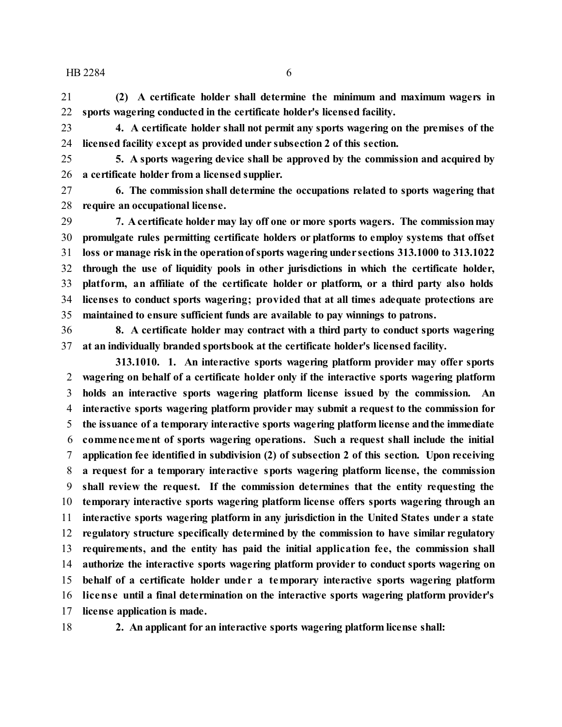**(2) A certificate holder shall determine the minimum and maximum wagers in sports wagering conducted in the certificate holder's licensed facility.**

 **4. A certificate holder shall not permit any sports wagering on the premises of the licensed facility except as provided under subsection 2 of this section.**

 **5. A sports wagering device shall be approved by the commission and acquired by a certificate holder from a licensed supplier.**

 **6. The commission shall determine the occupations related to sports wagering that require an occupational license.**

 **7. A certificate holder may lay off one or more sports wagers. The commissionmay promulgate rules permitting certificate holders or platforms to employ systems that offset loss or manage risk inthe operationofsports wagering under sections 313.1000 to 313.1022 through the use of liquidity pools in other jurisdictions in which the certificate holder, platform, an affiliate of the certificate holder or platform, or a third party also holds licenses to conduct sports wagering; provided that at all times adequate protections are maintained to ensure sufficient funds are available to pay winnings to patrons.**

 **8. A certificate holder may contract with a third party to conduct sports wagering at an individually branded sportsbook at the certificate holder's licensed facility.**

**313.1010. 1. An interactive sports wagering platform provider may offer sports wagering on behalf of a certificate holder only if the interactive sports wagering platform holds an interactive sports wagering platform license issued by the commission. An interactive sports wagering platform provider may submit a request to the commission for the issuance of a temporary interactive sports wagering platform license andthe immediate commencement of sports wagering operations. Such a request shall include the initial application fee identified in subdivision (2) of subsection 2 of this section. Upon receiving a request for a temporary interactive sports wagering platform license, the commission shall review the request. If the commission determines that the entity requesting the temporary interactive sports wagering platform license offers sports wagering through an interactive sports wagering platform in any jurisdiction in the United States under a state regulatory structure specifically determined by the commission to have similar regulatory requirements, and the entity has paid the initial application fee, the commission shall authorize the interactive sports wagering platform provider to conduct sports wagering on behalf of a certificate holder unde r a temporary interactive sports wagering platform licens e until a final determination on the interactive sports wagering platform provider's license application is made.**

**2. An applicant for an interactive sports wagering platform license shall:**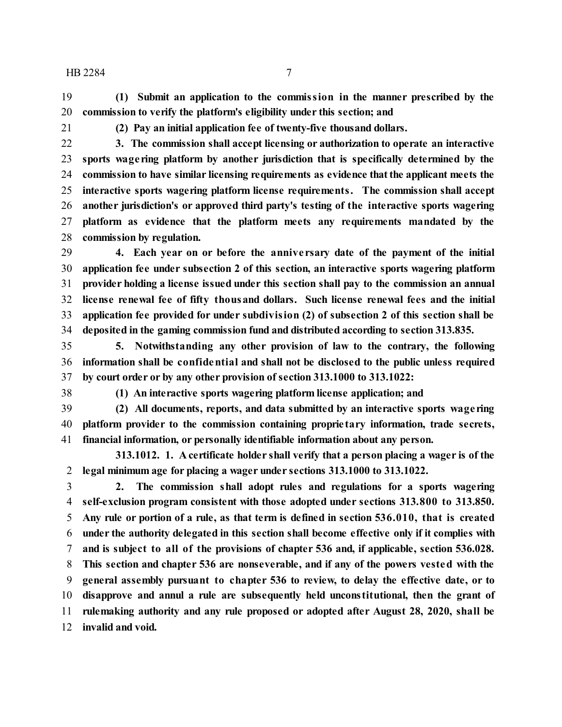**(1) Submit an application to the commission in the manner prescribed by the commission to verify the platform's eligibility under this section; and**

**(2) Pay an initial application fee of twenty-five thousand dollars.**

 **3. The commission shall accept licensing or authorization to operate an interactive sports wage ring platform by another jurisdiction that is specifically determined by the commission to have similar licensing requirements as evidence thatthe applicant meets the interactive sports wagering platform license requirements. The commission shall accept another jurisdiction's or approved third party's testing of the interactive sports wagering platform as evidence that the platform meets any requirements mandated by the commission by regulation.**

 **4. Each year on or before the annive rsary date of the payment of the initial application fee under subsection 2 of this section, an interactive sports wagering platform provider holding a license issued under this section shall pay to the commission an annual license renewal fee of fifty thousand dollars. Such license renewal fees and the initial application fee provided for under subdivision (2) of subsection 2 of this section shall be deposited in the gaming commission fund and distributed according to section 313.835.**

 **5. Notwithstanding any other provision of law to the contrary, the following information shall be confidential and shall not be disclosed to the public unless required by court order or by any other provision of section 313.1000 to 313.1022:**

**(1) An interactive sports wagering platform license application; and**

 **(2) All documents, reports, and data submitted by an interactive sports wage ring platform provider to the commission containing proprie tary information, trade secrets, financial information, or personally identifiable information about any person.**

**313.1012. 1. A certificate holder shall verify that a person placing a wager is of the legal minimum age for placing a wager under sections 313.1000 to 313.1022.**

 **2. The commission shall adopt rules and regulations for a sports wagering self-exclusion program consistent with those adopted under sections 313.800 to 313.850. Any rule or portion of a rule, as that term is defined in section 536.010, that is created under the authority delegated in this section shall become effective only if it complies with and is subject to all of the provisions of chapter 536 and, if applicable, section 536.028. This section and chapter 536 are nonseverable, and if any of the powers vested with the general assembly pursuant to chapter 536 to review, to delay the effective date, or to disapprove and annul a rule are subsequently held unconstitutional, then the grant of rulemaking authority and any rule proposed or adopted after August 28, 2020, shall be invalid and void.**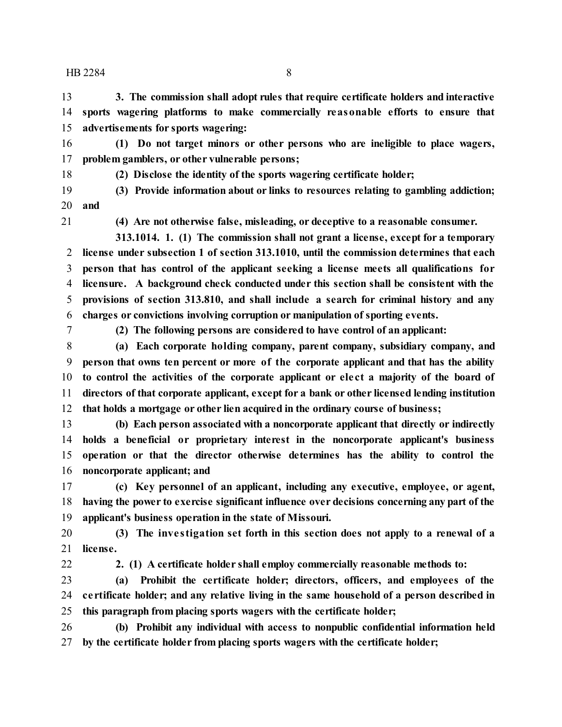**3. The commission shall adopt rules that require certificate holders and interactive sports wagering platforms to make commercially reasonable efforts to ensure that advertisements for sports wagering:**

 **(1) Do not target minors or other persons who are ineligible to place wagers, problem gamblers, or other vulnerable persons;**

**(2) Disclose the identity of the sports wagering certificate holder;**

 **(3) Provide information about or links to resources relating to gambling addiction; and**

**(4) Are not otherwise false, misleading, or deceptive to a reasonable consumer.**

**313.1014. 1. (1) The commission shall not grant a license, except for a temporary license under subsection 1 of section 313.1010, until the commission determines that each person that has control of the applicant seeking a license meets all qualifications for licensure. A background check conducted under this section shall be consistent with the provisions of section 313.810, and shall include a search for criminal history and any charges or convictions involving corruption or manipulation of sporting events.**

**(2) The following persons are considered to have control of an applicant:**

 **(a) Each corporate holding company, parent company, subsidiary company, and person that owns ten percent or more of the corporate applicant and that has the ability to control the activities of the corporate applicant or ele ct a majority of the board of directors of that corporate applicant, except for a bank or other licensed lending institution that holds a mortgage or other lien acquired in the ordinary course of business;**

 **(b) Each person associated with a noncorporate applicant that directly or indirectly holds a beneficial or proprietary interest in the noncorporate applicant's business operation or that the director otherwise determines has the ability to control the noncorporate applicant; and**

 **(c) Key personnel of an applicant, including any executive, employee, or agent, having the power to exercise significant influence over decisions concerning any part of the applicant's business operation in the state of Missouri.**

 **(3) The inve stigation set forth in this section does not apply to a renewal of a license.**

**2. (1) A certificate holder shall employ commercially reasonable methods to:**

 **(a) Prohibit the certificate holder; directors, officers, and employees of the ce rtificate holder; and any relative living in the same household of a person described in this paragraph from placing sports wagers with the certificate holder;**

 **(b) Prohibit any individual with access to nonpublic confidential information held by the certificate holder from placing sports wagers with the certificate holder;**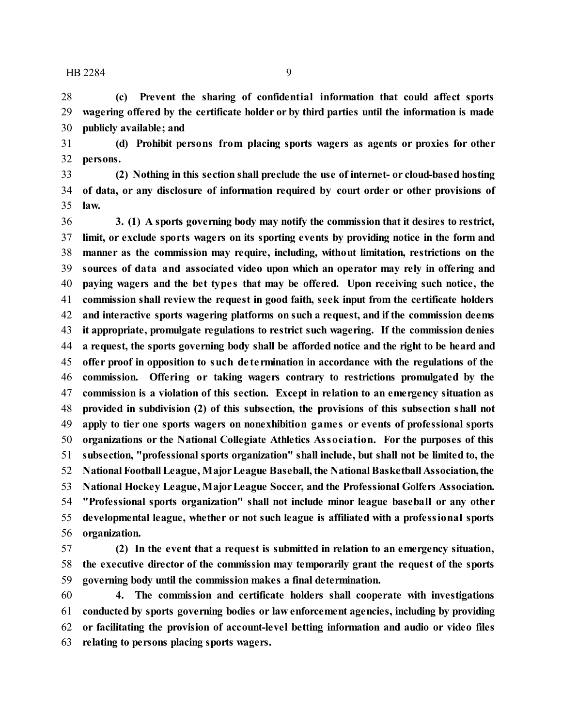**(c) Prevent the sharing of confidential information that could affect sports wagering offered by the certificate holder or by third parties until the information is made publicly available; and**

 **(d) Prohibit persons from placing sports wagers as agents or proxies for other persons.**

 **(2) Nothing in this section shall preclude the use of internet- or cloud-based hosting of data, or any disclosure of information required by court order or other provisions of law.**

 **3. (1) A sports governing body may notify the commission that it desires to restrict, limit, or exclude sports wagers on its sporting events by providing notice in the form and manner as the commission may require, including, without limitation, restrictions on the sources of data and associated video upon which an operator may rely in offering and paying wagers and the bet type s that may be offered. Upon receiving such notice, the commission shall review the request in good faith, seek input from the certificate holders and interactive sports wagering platforms on such a request, and if the commission deems it appropriate, promulgate regulations to restrict such wagering. If the commission denies a request, the sports governing body shall be afforded notice and the right to be heard and offer proof in opposition to such de te rmination in accordance with the regulations of the commission. Offering or taking wagers contrary to restrictions promulgated by the commission is a violation of this section. Except in relation to an emergency situation as provided in subdivision (2) of this subsection, the provisions of this subsection shall not apply to tier one sports wagers on nonexhibition game s or events of professional sports organizations or the National Collegiate Athletics Association. For the purposes of this subsection, "professional sports organization" shall include, but shall not be limited to, the National FootballLeague, MajorLeague Baseball, the NationalBasketball Association, the National Hockey League, MajorLeague Soccer, and the Professional Golfers Association. "Professional sports organization" shall not include minor league baseball or any other developmental league, whether or not such league is affiliated with a professional sports organization.**

 **(2) In the event that a request is submitted in relation to an emergency situation, the executive director of the commission may temporarily grant the request of the sports governing body until the commission makes a final determination.**

 **4. The commission and certificate holders shall cooperate with investigations conducted by sports governing bodies or law enforcement agencies, including by providing or facilitating the provision of account-level betting information and audio or video files relating to persons placing sports wagers.**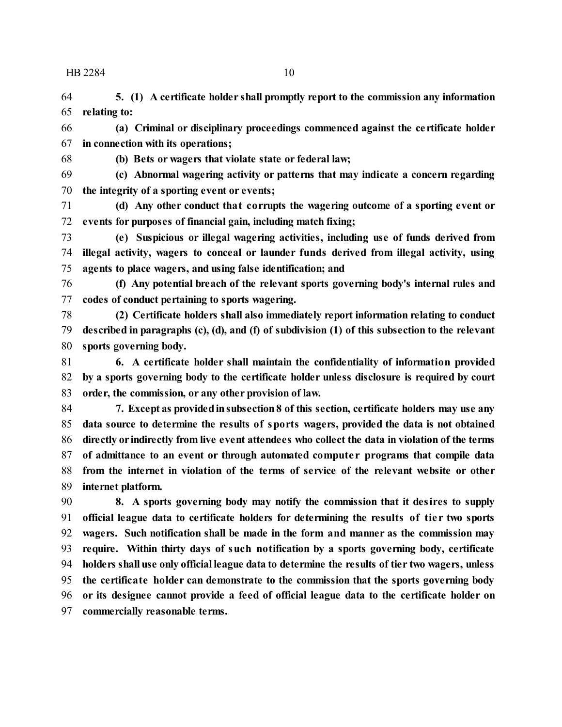**5. (1) A certificate holder shall promptly report to the commission any information relating to:**

 **(a) Criminal or disciplinary proceedings commenced against the ce rtificate holder in connection with its operations;**

**(b) Bets or wagers that violate state or federal law;**

 **(c) Abnormal wagering activity or patterns that may indicate a concern regarding the integrity of a sporting event or events;**

 **(d) Any other conduct that corrupts the wagering outcome of a sporting event or events for purposes of financial gain, including match fixing;**

 **(e) Suspicious or illegal wagering activities, including use of funds derived from illegal activity, wagers to conceal or launder funds derived from illegal activity, using agents to place wagers, and using false identification; and**

 **(f) Any potential breach of the relevant sports governing body's internal rules and codes of conduct pertaining to sports wagering.**

 **(2) Certificate holders shall also immediately report information relating to conduct described in paragraphs (c), (d), and (f) of subdivision (1) of this subsection to the relevant sports governing body.**

 **6. A certificate holder shall maintain the confidentiality of information provided by a sports governing body to the certificate holder unless disclosure is required by court order, the commission, or any other provision of law.**

 **7. Except as providedinsubsection8 of this section, certificate holders may use any data source to determine the results of sports wagers, provided the data is not obtained directly or indirectly from live event attendees who collect the data in violation of the terms of admittance to an event or through automated compute r programs that compile data from the internet in violation of the terms of service of the relevant website or other internet platform.**

 **8. A sports governing body may notify the commission that it desires to supply official league data to certificate holders for determining the results of tie r two sports wagers. Such notification shall be made in the form and manner as the commission may require. Within thirty days of such notification by a sports governing body, certificate holders shall use only official league data to determine the results of tier two wagers, unless the certificate holder can demonstrate to the commission that the sports governing body or its designee cannot provide a feed of official league data to the certificate holder on commercially reasonable terms.**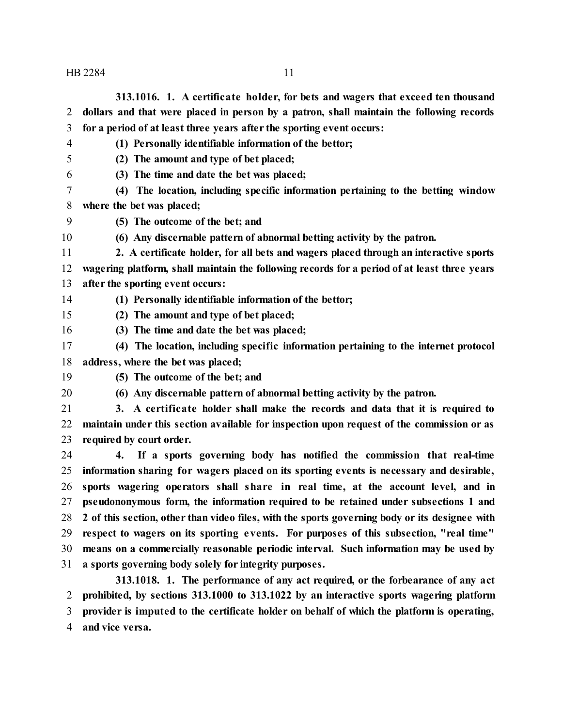**313.1016. 1. A certificate holder, for bets and wagers that exceed ten thousand dollars and that were placed in person by a patron, shall maintain the following records for a period of at least three years after the sporting event occurs:**

**(1) Personally identifiable information of the bettor;**

- **(2) The amount and type of bet placed;**
- **(3) The time and date the bet was placed;**
- **(4) The location, including specific information pertaining to the betting window where the bet was placed;**
- **(5) The outcome of the bet; and**
- **(6) Any discernable pattern of abnormal betting activity by the patron.**
- **2. A certificate holder, for all bets and wagers placed through an interactive sports wagering platform, shall maintain the following records for a period of at least three years after the sporting event occurs:**
- **(1) Personally identifiable information of the bettor;**

**(2) The amount and type of bet placed;**

- **(3) The time and date the bet was placed;**
- **(4) The location, including specific information pertaining to the internet protocol address, where the bet was placed;**
- **(5) The outcome of the bet; and**
- 

**(6) Any discernable pattern of abnormal betting activity by the patron.**

 **3. A certificate holder shall make the records and data that it is required to maintain under this section available for inspection upon request of the commission or as required by court order.**

 **4. If a sports governing body has notified the commission that real-time information sharing for wagers placed on its sporting events is necessary and desirable, sports wagering operators shall share in real time, at the account level, and in pseudononymous form, the information required to be retained under subsections 1 and 2 of this section, other than video files, with the sports governing body or its designee with respect to wagers on its sporting events. For purposes of this subsection, "real time" means on a commercially reasonable periodic interval. Such information may be used by a sports governing body solely for integrity purposes.**

**313.1018. 1. The performance of any act required, or the forbearance of any act prohibited, by sections 313.1000 to 313.1022 by an interactive sports wagering platform provider is imputed to the certificate holder on behalf of which the platform is operating, and vice versa.**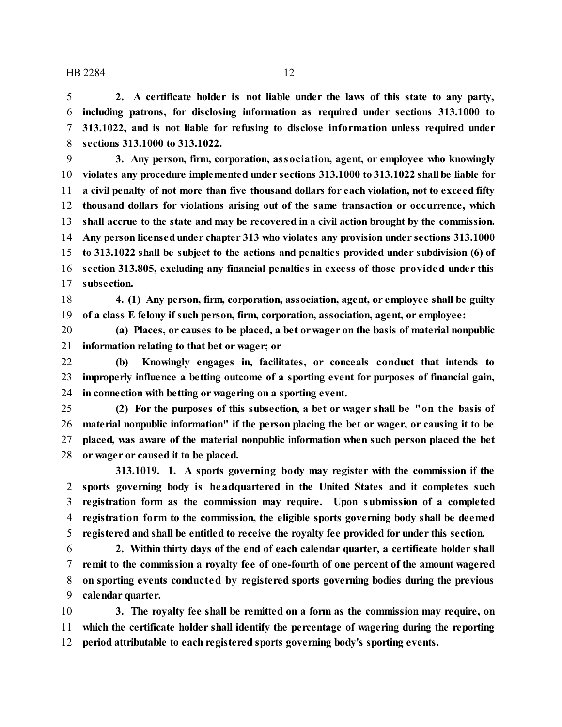**2. A certificate holder is not liable under the laws of this state to any party, including patrons, for disclosing information as required under sections 313.1000 to 313.1022, and is not liable for refusing to disclose information unless required under sections 313.1000 to 313.1022.**

 **3. Any person, firm, corporation, association, agent, or employee who knowingly violates any procedure implemented under sections 313.1000 to 313.1022 shall be liable for a civil penalty of not more than five thousand dollars for each violation, not to exceed fifty thousand dollars for violations arising out of the same transaction or occurrence, which shall accrue to the state and may be recovered in a civil action brought by the commission. Any person licensedunder chapter 313 who violates any provision under sections 313.1000 to 313.1022 shall be subject to the actions and penalties provided under subdivision (6) of section 313.805, excluding any financial penalties in excess of those provided under this subsection.**

 **4. (1) Any person, firm, corporation, association, agent, or employee shall be guilty of a class E felony if such person, firm, corporation, association, agent, or employee:**

 **(a) Places, or causes to be placed, a bet orwager on the basis of material nonpublic information relating to that bet or wager; or**

 **(b) Knowingly engages in, facilitates, or conceals conduct that intends to improperly influence a betting outcome of a sporting event for purposes of financial gain, in connection with betting or wagering on a sporting event.**

 **(2) For the purposes of this subsection, a bet or wager shall be "on the basis of material nonpublic information" if the person placing the bet or wager, or causing it to be placed, was aware of the material nonpublic information when such person placed the bet or wager or caused it to be placed.**

**313.1019. 1. A sports governing body may register with the commission if the sports governing body is headquartered in the United States and it completes such registration form as the commission may require. Upon submission of a completed registration form to the commission, the eligible sports governing body shall be deemed registered and shall be entitled to receive the royalty fee provided for under this section.**

 **2. Within thirty days of the end of each calendar quarter, a certificate holder shall remit to the commission a royalty fee of one-fourth of one percent of the amount wagered on sporting events conducted by registered sports governing bodies during the previous calendar quarter.**

 **3. The royalty fee shall be remitted on a form as the commission may require, on which the certificate holder shall identify the percentage of wagering during the reporting period attributable to each registered sports governing body's sporting events.**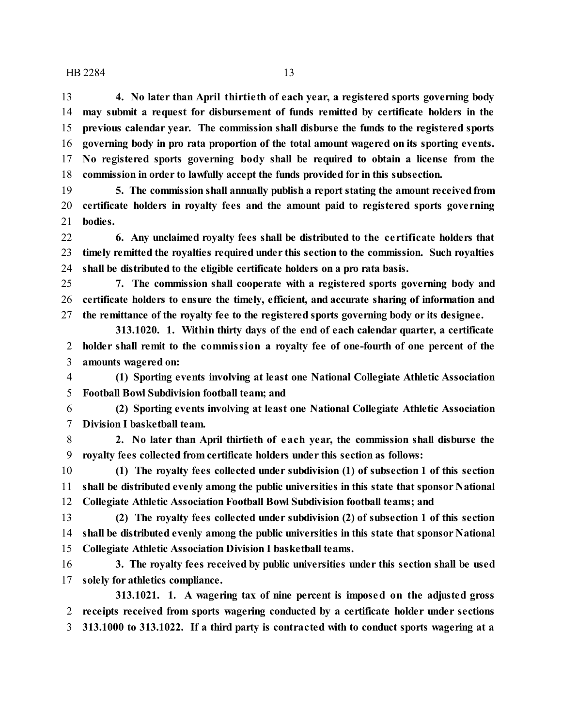**4. No later than April thirtie th of each year, a registered sports governing body may submit a request for disbursement of funds remitted by certificate holders in the previous calendar year. The commission shall disburse the funds to the registered sports governing body in pro rata proportion of the total amount wagered on its sporting events. No registered sports governing body shall be required to obtain a license from the commission in order to lawfully accept the funds provided for in this subsection.**

 **5. The commission shall annually publish a report stating the amount receivedfrom certificate holders in royalty fees and the amount paid to registered sports gove rning bodies.**

 **6. Any unclaimed royalty fees shall be distributed to the ce rtificate holders that timely remitted the royalties required under this section to the commission. Such royalties shall be distributed to the eligible certificate holders on a pro rata basis.**

 **7. The commission shall cooperate with a registered sports governing body and certificate holders to ensure the timely, efficient, and accurate sharing of information and the remittance of the royalty fee to the registered sports governing body or its designee.**

**313.1020. 1. Within thirty days of the end of each calendar quarter, a certificate holder shall remit to the commission a royalty fee of one-fourth of one percent of the amounts wagered on:**

 **(1) Sporting events involving at least one National Collegiate Athletic Association Football Bowl Subdivision football team; and**

 **(2) Sporting events involving at least one National Collegiate Athletic Association Division I basketball team.**

 **2. No later than April thirtieth of each year, the commission shall disburse the royalty fees collected from certificate holders under this section as follows:**

 **(1) The royalty fees collected under subdivision (1) of subsection 1 of this section shall be distributed evenly among the public universities in this state that sponsor National Collegiate Athletic Association Football Bowl Subdivision football teams; and**

 **(2) The royalty fees collected under subdivision (2) of subsection 1 of this section shall be distributed evenly among the public universities in this state that sponsor National Collegiate Athletic Association Division I basketball teams.**

 **3. The royalty fees received by public universities under this section shall be used solely for athletics compliance.**

**313.1021. 1. A wagering tax of nine percent is imposed on the adjusted gross receipts received from sports wagering conducted by a certificate holder under sections 313.1000 to 313.1022. If a third party is contracted with to conduct sports wagering at a**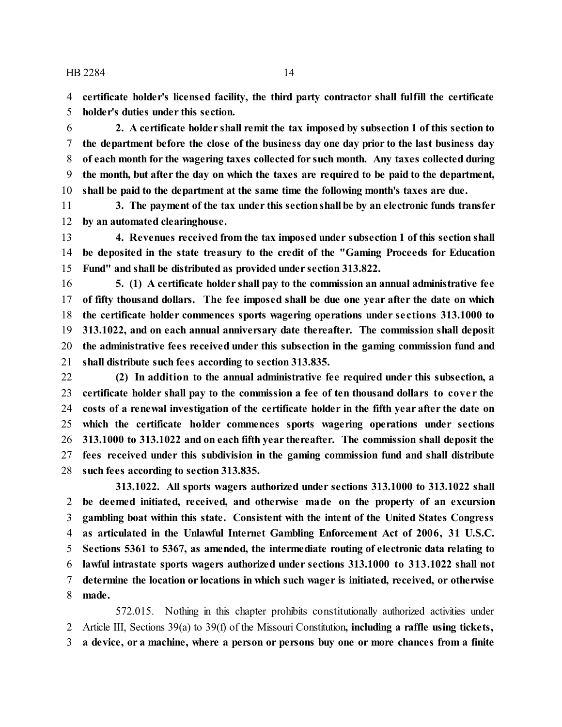**certificate holder's licensed facility, the third party contractor shall fulfill the certificate holder's duties under this section.**

 **2. A certificate holder shall remit the tax imposed by subsection 1 of this section to the department before the close of the business day one day prior to the last business day of each month for the wagering taxes collected for such month. Any taxes collected during the month, but after the day on which the taxes are required to be paid to the department, shall be paid to the department at the same time the following month's taxes are due.**

 **3. The payment of the tax under this sectionshall be by an electronic funds transfer by an automated clearinghouse.**

 **4. Revenues received from the tax imposed under subsection 1 of this section shall be deposited in the state treasury to the credit of the "Gaming Proceeds for Education Fund" and shall be distributed as provided under section 313.822.**

 **5. (1) A certificate holder shall pay to the commission an annual administrative fee of fifty thousand dollars. The fee imposed shall be due one year after the date on which the certificate holder commences sports wagering operations under se ctions 313.1000 to 313.1022, and on each annual anniversary date thereafter. The commission shall deposit the administrative fees received under this subsection in the gaming commission fund and shall distribute such fees according to section 313.835.**

 **(2) In addition to the annual administrative fee required under this subsection, a certificate holder shall pay to the commission a fee of ten thousand dollars to cove r the costs of a renewal investigation of the certificate holder in the fifth year after the date on which the certificate holder commences sports wagering operations under sections 313.1000 to 313.1022 and on each fifth year thereafter. The commission shall deposit the fees received under this subdivision in the gaming commission fund and shall distribute such fees according to section 313.835.**

**313.1022. All sports wagers authorized under sections 313.1000 to 313.1022 shall be deemed initiated, received, and otherwise made on the property of an excursion gambling boat within this state. Consistent with the intent of the United States Congress as articulated in the Unlawful Internet Gambling Enforcement Act of 2006, 31 U.S.C. Sections 5361 to 5367, as amended, the intermediate routing of electronic data relating to lawful intrastate sports wagers authorized under sections 313.1000 to 313.1022 shall not determine the location or locations in which such wager is initiated, received, or otherwise made.**

572.015. Nothing in this chapter prohibits constitutionally authorized activities under Article III, Sections 39(a) to 39(f) of the Missouri Constitution**, including a raffle using tickets, a device, or a machine, where a person or persons buy one or more chances from a finite**